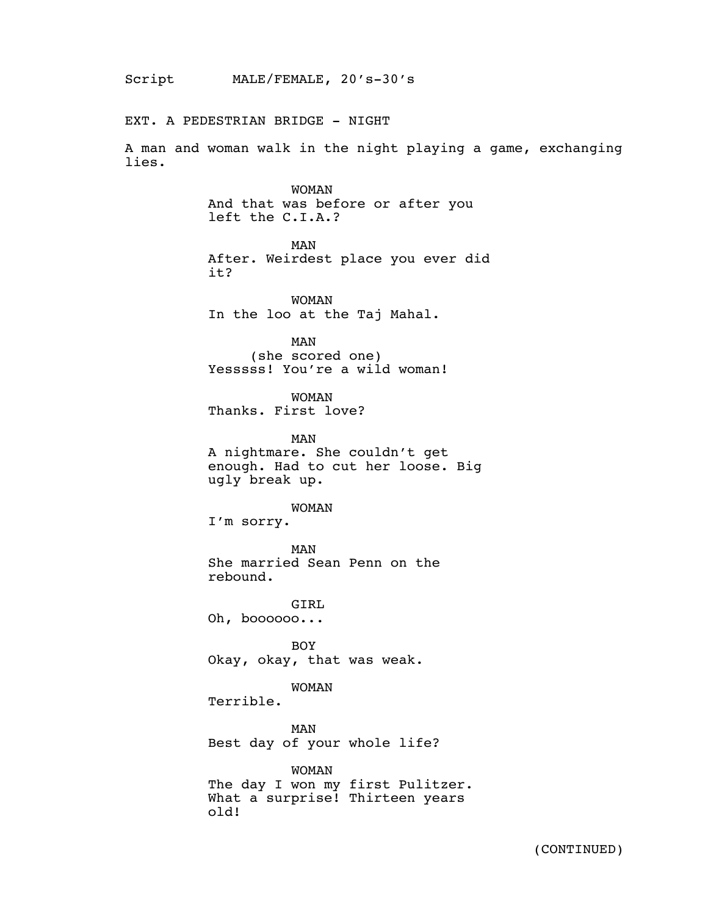EXT. A PEDESTRIAN BRIDGE - NIGHT

A man and woman walk in the night playing a game, exchanging lies.

> WOMAN And that was before or after you left the C.I.A.?

> > MAN

After. Weirdest place you ever did it?

WOMAN In the loo at the Taj Mahal.

MAN (she scored one) Yesssss! You're a wild woman!

WOMAN Thanks. First love?

MAN A nightmare. She couldn't get enough. Had to cut her loose. Big ugly break up.

WOMAN

I'm sorry.

MAN She married Sean Penn on the rebound.

GIRL Oh, boooooo...

BOY Okay, okay, that was weak.

WOMAN

Terrible.

MAN Best day of your whole life?

WOMAN The day I won my first Pulitzer. What a surprise! Thirteen years old!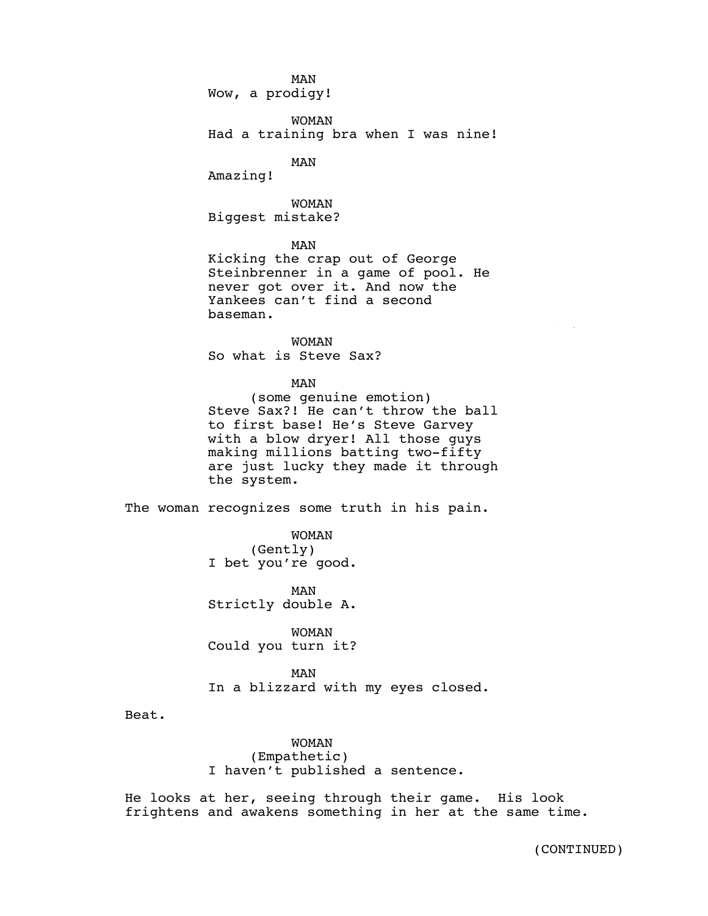## MAN

Wow, a prodigy!

WOMAN Had a training bra when I was nine!

MAN

Amazing!

WOMAN Biggest mistake?

MAN

Kicking the crap out of George Steinbrenner in a game of pool. He never got over it. And now the Yankees can't find a second baseman.

WOMAN So what is Steve Sax?

MAN

(some genuine emotion) Steve Sax?! He can't throw the ball to first base! He's Steve Garvey with a blow dryer! All those guys making millions batting two-fifty are just lucky they made it through the system.

The woman recognizes some truth in his pain.

WOMAN (Gently) I bet you're good.

MAN Strictly double A.

WOMAN Could you turn it?

MAN In a blizzard with my eyes closed.

Beat.

WOMAN (Empathetic) I haven't published a sentence.

He looks at her, seeing through their game. His look frightens and awakens something in her at the same time.

(CONTINUED)